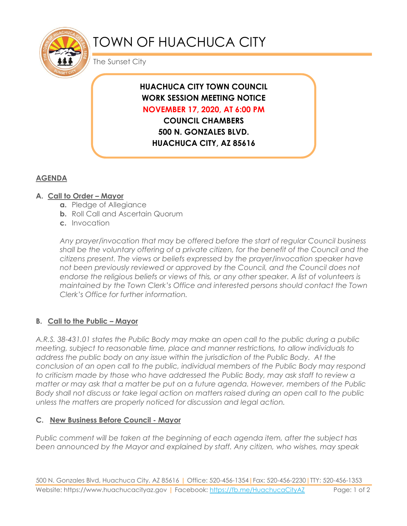

# TOWN OF HUACHUCA CITY

The Sunset City

# **HUACHUCA CITY TOWN COUNCIL WORK SESSION MEETING NOTICE NOVEMBER 17, 2020, AT 6:00 PM**

**COUNCIL CHAMBERS 500 N. GONZALES BLVD. HUACHUCA CITY, AZ 85616**

## **AGENDA**

#### **A. Call to Order – Mayor**

- **a.** Pledge of Allegiance
- **b.** Roll Call and Ascertain Quorum
- **c.** Invocation

*Any prayer/invocation that may be offered before the start of regular Council business shall be the voluntary offering of a private citizen, for the benefit of the Council and the citizens present. The views or beliefs expressed by the prayer/invocation speaker have not been previously reviewed or approved by the Council, and the Council does not endorse the religious beliefs or views of this, or any other speaker. A list of volunteers is maintained by the Town Clerk's Office and interested persons should contact the Town Clerk's Office for further information.*

### **B. Call to the Public – Mayor**

*A.R.S. 38-431.01 states the Public Body may make an open call to the public during a public meeting, subject to reasonable time, place and manner restrictions, to allow individuals to address the public body on any issue within the jurisdiction of the Public Body. At the conclusion of an open call to the public, individual members of the Public Body may respond to criticism made by those who have addressed the Public Body, may ask staff to review a matter or may ask that a matter be put on a future agenda. However, members of the Public Body shall not discuss or take legal action on matters raised during an open call to the public unless the matters are properly noticed for discussion and legal action.*

#### **C. New Business Before Council - Mayor**

*Public comment will be taken at the beginning of each agenda item, after the subject has been announced by the Mayor and explained by staff. Any citizen, who wishes, may speak*